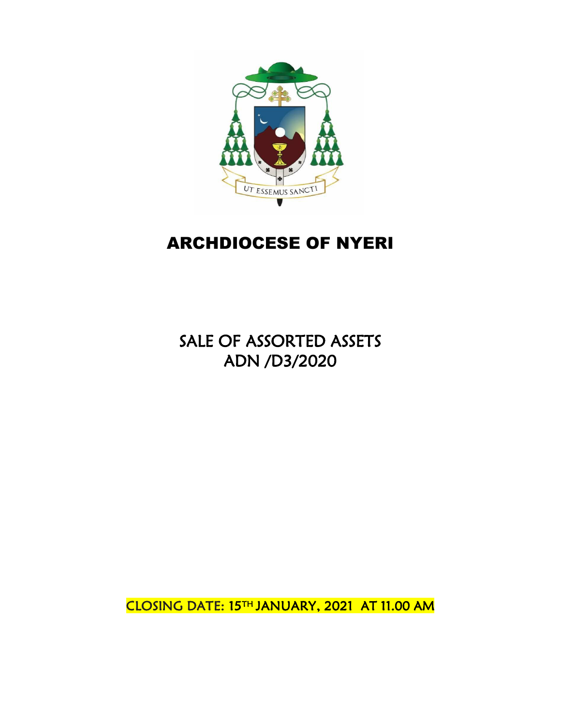

# ARCHDIOCESE OF NYERI

SALE OF ASSORTED ASSETS ADN /D3/2020

CLOSING DATE: 15TH JANUARY, 2021 AT 11.00 AM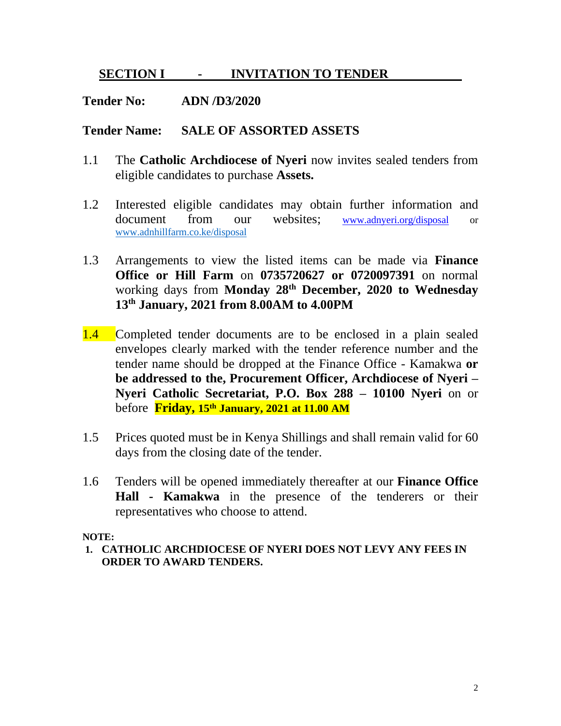### **SECTION I - INVITATION TO TENDER**

### **Tender No: ADN /D3/2020**

### **Tender Name: SALE OF ASSORTED ASSETS**

- 1.1 The **Catholic Archdiocese of Nyeri** now invites sealed tenders from eligible candidates to purchase **Assets.**
- 1.2 Interested eligible candidates may obtain further information and document from our websites; [www.adnyeri.org/disposal](http://www.adnyeri.org/disposal) or [www.adnhillfarm.co.ke/disposal](http://www.adnhillfarm.co.ke/disposal)
- 1.3 Arrangements to view the listed items can be made via **Finance Office or Hill Farm** on **0735720627 or 0720097391** on normal working days from **Monday 28th December, 2020 to Wednesday 13th January, 2021 from 8.00AM to 4.00PM**
- 1.4 Completed tender documents are to be enclosed in a plain sealed envelopes clearly marked with the tender reference number and the tender name should be dropped at the Finance Office - Kamakwa **or be addressed to the, Procurement Officer, Archdiocese of Nyeri – Nyeri Catholic Secretariat, P.O. Box 288 – 10100 Nyeri** on or before **Friday, 15th January, 2021 at 11.00 AM**
- 1.5 Prices quoted must be in Kenya Shillings and shall remain valid for 60 days from the closing date of the tender.
- 1.6 Tenders will be opened immediately thereafter at our **Finance Office Hall - Kamakwa** in the presence of the tenderers or their representatives who choose to attend.

#### **NOTE:**

**1. CATHOLIC ARCHDIOCESE OF NYERI DOES NOT LEVY ANY FEES IN ORDER TO AWARD TENDERS.**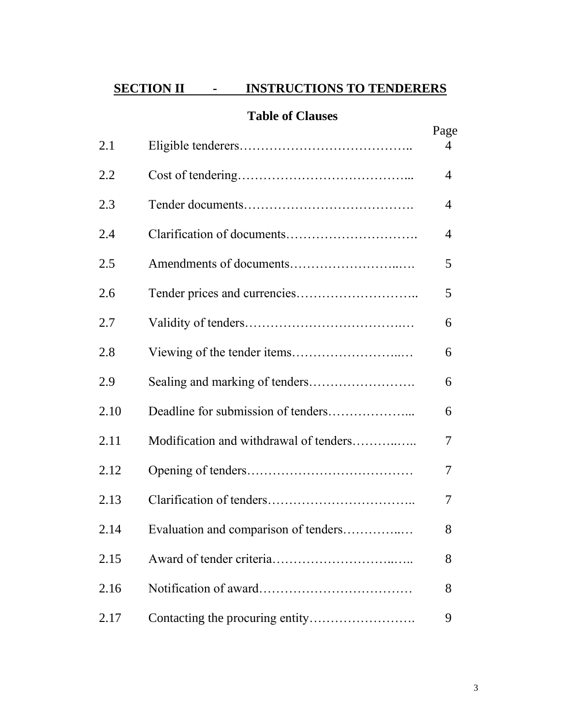# **SECTION II - INSTRUCTIONS TO TENDERERS**

# **Table of Clauses**

|      |                                        | Page |
|------|----------------------------------------|------|
| 2.1  |                                        | 4    |
| 2.2  |                                        | 4    |
| 2.3  |                                        | 4    |
| 2.4  | Clarification of documents             | 4    |
| 2.5  |                                        | 5    |
| 2.6  |                                        | 5    |
| 2.7  |                                        | 6    |
| 2.8  |                                        | 6    |
| 2.9  |                                        | 6    |
| 2.10 |                                        | 6    |
| 2.11 | Modification and withdrawal of tenders | 7    |
| 2.12 |                                        | 7    |
| 2.13 |                                        | 7    |
| 2.14 | Evaluation and comparison of tenders   | 8    |
| 2.15 |                                        | 8    |
| 2.16 |                                        | 8    |
| 2.17 |                                        | 9    |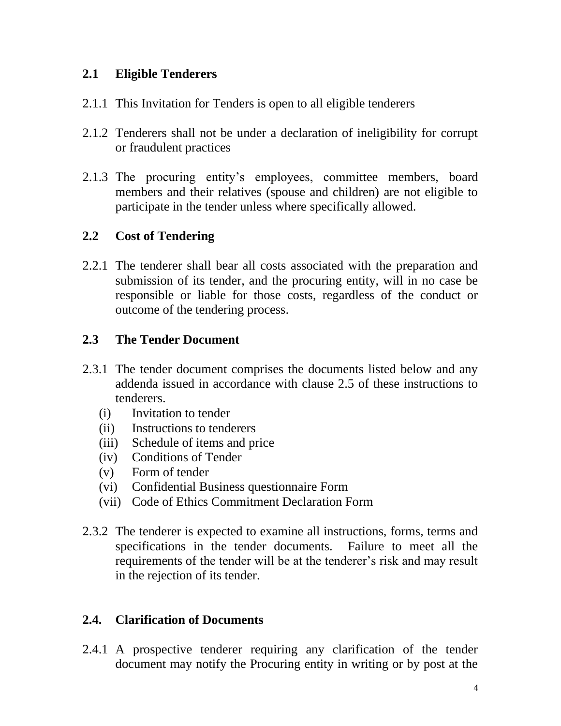# **2.1 Eligible Tenderers**

- 2.1.1 This Invitation for Tenders is open to all eligible tenderers
- 2.1.2 Tenderers shall not be under a declaration of ineligibility for corrupt or fraudulent practices
- 2.1.3 The procuring entity's employees, committee members, board members and their relatives (spouse and children) are not eligible to participate in the tender unless where specifically allowed.

# **2.2 Cost of Tendering**

2.2.1 The tenderer shall bear all costs associated with the preparation and submission of its tender, and the procuring entity, will in no case be responsible or liable for those costs, regardless of the conduct or outcome of the tendering process.

# **2.3 The Tender Document**

- 2.3.1 The tender document comprises the documents listed below and any addenda issued in accordance with clause 2.5 of these instructions to tenderers.
	- (i) Invitation to tender
	- (ii) Instructions to tenderers
	- (iii) Schedule of items and price
	- (iv) Conditions of Tender
	- (v) Form of tender
	- (vi) Confidential Business questionnaire Form
	- (vii) Code of Ethics Commitment Declaration Form
- 2.3.2 The tenderer is expected to examine all instructions, forms, terms and specifications in the tender documents. Failure to meet all the requirements of the tender will be at the tenderer's risk and may result in the rejection of its tender.

# **2.4. Clarification of Documents**

2.4.1 A prospective tenderer requiring any clarification of the tender document may notify the Procuring entity in writing or by post at the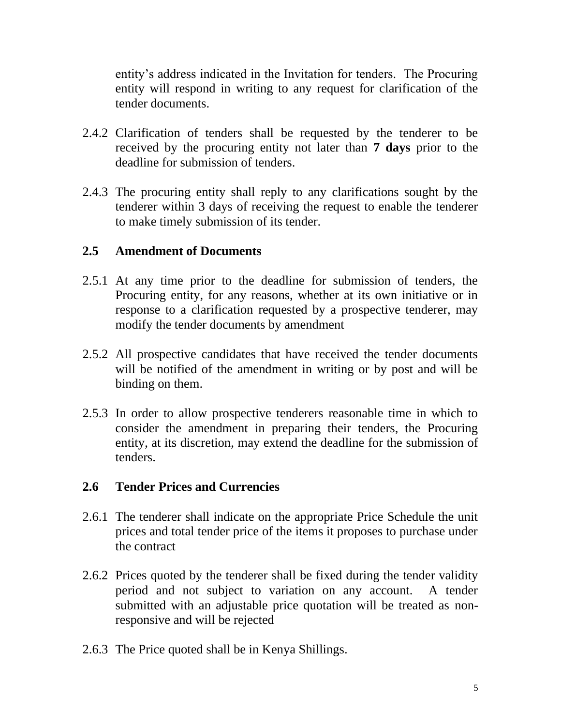entity's address indicated in the Invitation for tenders. The Procuring entity will respond in writing to any request for clarification of the tender documents.

- 2.4.2 Clarification of tenders shall be requested by the tenderer to be received by the procuring entity not later than **7 days** prior to the deadline for submission of tenders.
- 2.4.3 The procuring entity shall reply to any clarifications sought by the tenderer within 3 days of receiving the request to enable the tenderer to make timely submission of its tender.

### **2.5 Amendment of Documents**

- 2.5.1 At any time prior to the deadline for submission of tenders, the Procuring entity, for any reasons, whether at its own initiative or in response to a clarification requested by a prospective tenderer, may modify the tender documents by amendment
- 2.5.2 All prospective candidates that have received the tender documents will be notified of the amendment in writing or by post and will be binding on them.
- 2.5.3 In order to allow prospective tenderers reasonable time in which to consider the amendment in preparing their tenders, the Procuring entity, at its discretion, may extend the deadline for the submission of tenders.

### **2.6 Tender Prices and Currencies**

- 2.6.1 The tenderer shall indicate on the appropriate Price Schedule the unit prices and total tender price of the items it proposes to purchase under the contract
- 2.6.2 Prices quoted by the tenderer shall be fixed during the tender validity period and not subject to variation on any account. A tender submitted with an adjustable price quotation will be treated as nonresponsive and will be rejected
- 2.6.3 The Price quoted shall be in Kenya Shillings.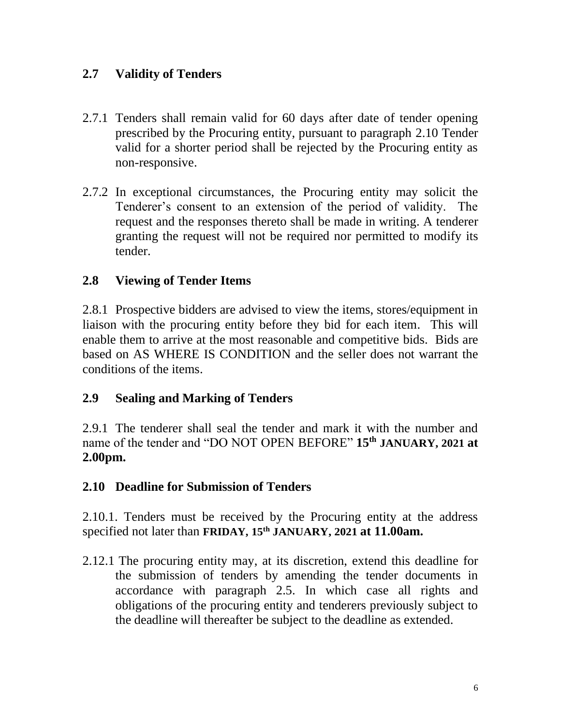# **2.7 Validity of Tenders**

- 2.7.1 Tenders shall remain valid for 60 days after date of tender opening prescribed by the Procuring entity, pursuant to paragraph 2.10 Tender valid for a shorter period shall be rejected by the Procuring entity as non-responsive.
- 2.7.2 In exceptional circumstances, the Procuring entity may solicit the Tenderer's consent to an extension of the period of validity. The request and the responses thereto shall be made in writing. A tenderer granting the request will not be required nor permitted to modify its tender.

# **2.8 Viewing of Tender Items**

2.8.1 Prospective bidders are advised to view the items, stores/equipment in liaison with the procuring entity before they bid for each item. This will enable them to arrive at the most reasonable and competitive bids. Bids are based on AS WHERE IS CONDITION and the seller does not warrant the conditions of the items.

### **2.9 Sealing and Marking of Tenders**

2.9.1 The tenderer shall seal the tender and mark it with the number and name of the tender and "DO NOT OPEN BEFORE" **15th JANUARY, 2021 at 2.00pm.**

### **2.10 Deadline for Submission of Tenders**

2.10.1. Tenders must be received by the Procuring entity at the address specified not later than **FRIDAY, 15 th JANUARY, 2021 at 11.00am.**

2.12.1 The procuring entity may, at its discretion, extend this deadline for the submission of tenders by amending the tender documents in accordance with paragraph 2.5. In which case all rights and obligations of the procuring entity and tenderers previously subject to the deadline will thereafter be subject to the deadline as extended.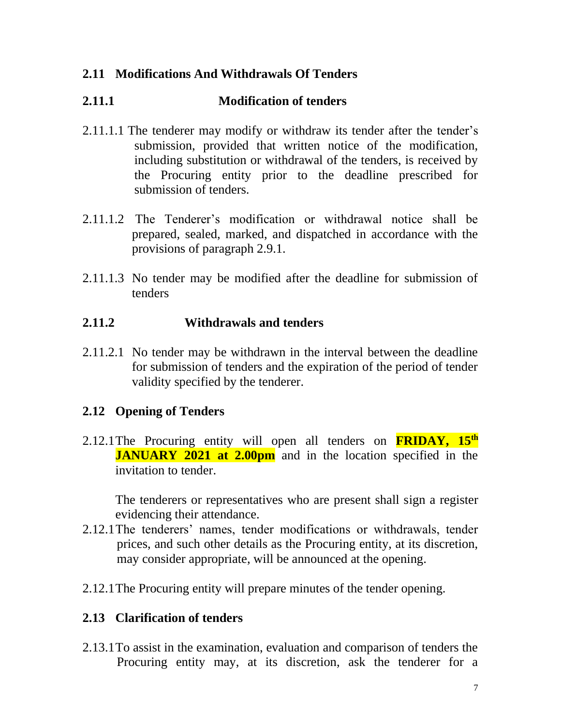# **2.11 Modifications And Withdrawals Of Tenders**

# **2.11.1 Modification of tenders**

- 2.11.1.1 The tenderer may modify or withdraw its tender after the tender's submission, provided that written notice of the modification, including substitution or withdrawal of the tenders, is received by the Procuring entity prior to the deadline prescribed for submission of tenders.
- 2.11.1.2 The Tenderer's modification or withdrawal notice shall be prepared, sealed, marked, and dispatched in accordance with the provisions of paragraph 2.9.1.
- 2.11.1.3 No tender may be modified after the deadline for submission of tenders

# **2.11.2 Withdrawals and tenders**

2.11.2.1 No tender may be withdrawn in the interval between the deadline for submission of tenders and the expiration of the period of tender validity specified by the tenderer.

# **2.12 Opening of Tenders**

2.12.1 The Procuring entity will open all tenders on **FRIDAY, 15<sup>th</sup> JANUARY 2021 at 2.00pm** and in the location specified in the invitation to tender.

The tenderers or representatives who are present shall sign a register evidencing their attendance.

- 2.12.1The tenderers' names, tender modifications or withdrawals, tender prices, and such other details as the Procuring entity, at its discretion, may consider appropriate, will be announced at the opening.
- 2.12.1The Procuring entity will prepare minutes of the tender opening.

### **2.13 Clarification of tenders**

2.13.1To assist in the examination, evaluation and comparison of tenders the Procuring entity may, at its discretion, ask the tenderer for a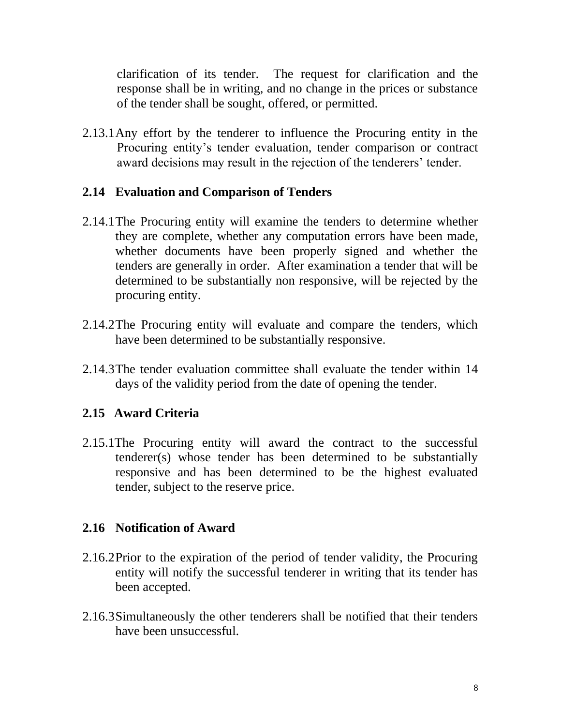clarification of its tender. The request for clarification and the response shall be in writing, and no change in the prices or substance of the tender shall be sought, offered, or permitted.

2.13.1Any effort by the tenderer to influence the Procuring entity in the Procuring entity's tender evaluation, tender comparison or contract award decisions may result in the rejection of the tenderers' tender.

### **2.14 Evaluation and Comparison of Tenders**

- 2.14.1The Procuring entity will examine the tenders to determine whether they are complete, whether any computation errors have been made, whether documents have been properly signed and whether the tenders are generally in order. After examination a tender that will be determined to be substantially non responsive, will be rejected by the procuring entity.
- 2.14.2The Procuring entity will evaluate and compare the tenders, which have been determined to be substantially responsive.
- 2.14.3The tender evaluation committee shall evaluate the tender within 14 days of the validity period from the date of opening the tender.

# **2.15 Award Criteria**

2.15.1The Procuring entity will award the contract to the successful tenderer(s) whose tender has been determined to be substantially responsive and has been determined to be the highest evaluated tender, subject to the reserve price.

# **2.16 Notification of Award**

- 2.16.2Prior to the expiration of the period of tender validity, the Procuring entity will notify the successful tenderer in writing that its tender has been accepted.
- 2.16.3Simultaneously the other tenderers shall be notified that their tenders have been unsuccessful.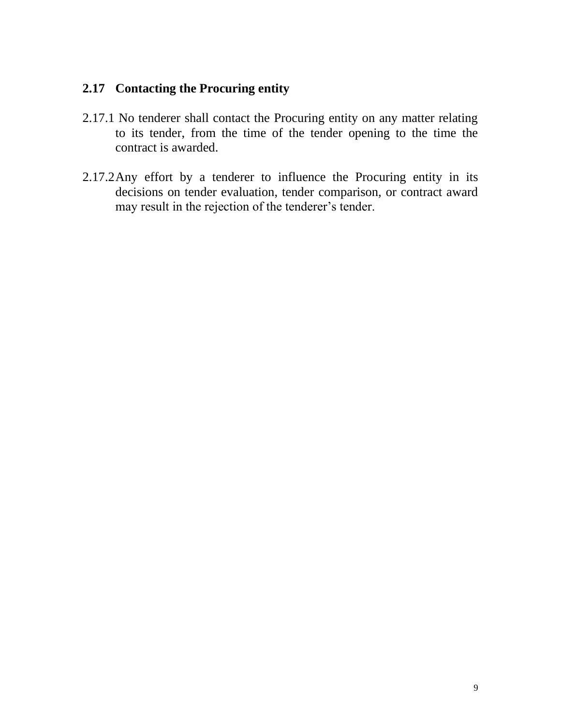### **2.17 Contacting the Procuring entity**

- 2.17.1 No tenderer shall contact the Procuring entity on any matter relating to its tender, from the time of the tender opening to the time the contract is awarded.
- 2.17.2Any effort by a tenderer to influence the Procuring entity in its decisions on tender evaluation, tender comparison, or contract award may result in the rejection of the tenderer's tender.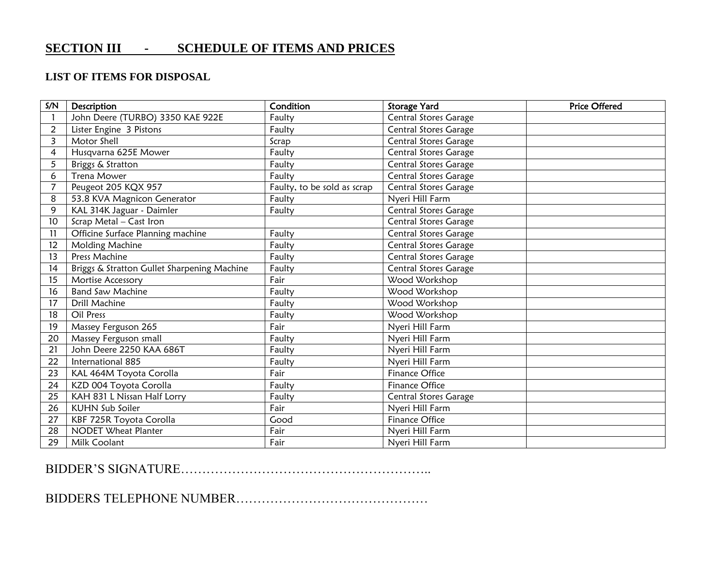# **SECTION III - SCHEDULE OF ITEMS AND PRICES**

#### **LIST OF ITEMS FOR DISPOSAL**

| S/N                     | Description                                 | Condition                   | <b>Storage Yard</b>          | <b>Price Offered</b> |
|-------------------------|---------------------------------------------|-----------------------------|------------------------------|----------------------|
|                         | John Deere (TURBO) 3350 KAE 922E            | Faulty                      | Central Stores Garage        |                      |
| $\overline{2}$          | Lister Engine 3 Pistons                     | Faulty                      | Central Stores Garage        |                      |
| $\overline{\mathbf{3}}$ | Motor Shell                                 | Scrap                       | Central Stores Garage        |                      |
| $\overline{4}$          | Husqvarna 625E Mower                        | Faulty                      | <b>Central Stores Garage</b> |                      |
| 5                       | Briggs & Stratton                           | Faulty                      | <b>Central Stores Garage</b> |                      |
| 6                       | <b>Trena Mower</b>                          | Faulty                      | Central Stores Garage        |                      |
| $\overline{7}$          | Peugeot 205 KQX 957                         | Faulty, to be sold as scrap | <b>Central Stores Garage</b> |                      |
| 8                       | 53.8 KVA Magnicon Generator                 | Faulty                      | Nyeri Hill Farm              |                      |
| 9                       | KAL 314K Jaguar - Daimler                   | Faulty                      | Central Stores Garage        |                      |
| 10                      | Scrap Metal - Cast Iron                     |                             | <b>Central Stores Garage</b> |                      |
| 11                      | Officine Surface Planning machine           | Faulty                      | Central Stores Garage        |                      |
| 12                      | Molding Machine                             | Faulty                      | <b>Central Stores Garage</b> |                      |
| 13                      | Press Machine                               | Faulty                      | Central Stores Garage        |                      |
| 14                      | Briggs & Stratton Gullet Sharpening Machine | Faulty                      | <b>Central Stores Garage</b> |                      |
| 15                      | Mortise Accessory                           | Fair                        | Wood Workshop                |                      |
| 16                      | <b>Band Saw Machine</b>                     | Faulty                      | Wood Workshop                |                      |
| 17                      | <b>Drill Machine</b>                        | Faulty                      | Wood Workshop                |                      |
| 18                      | Oil Press                                   | Faulty                      | Wood Workshop                |                      |
| 19                      | Massey Ferguson 265                         | Fair                        | Nyeri Hill Farm              |                      |
| 20                      | Massey Ferguson small                       | Faulty                      | Nyeri Hill Farm              |                      |
| 21                      | John Deere 2250 KAA 686T                    | Faulty                      | Nyeri Hill Farm              |                      |
| 22                      | International 885                           | Faulty                      | Nyeri Hill Farm              |                      |
| 23                      | KAL 464M Toyota Corolla                     | Fair                        | <b>Finance Office</b>        |                      |
| 24                      | KZD 004 Toyota Corolla                      | Faulty                      | <b>Finance Office</b>        |                      |
| 25                      | KAH 831 L Nissan Half Lorry                 | Faulty                      | Central Stores Garage        |                      |
| 26                      | <b>KUHN Sub Soiler</b>                      | Fair                        | Nyeri Hill Farm              |                      |
| 27                      | KBF 725R Toyota Corolla                     | Good                        | <b>Finance Office</b>        |                      |
| 28                      | <b>NODET Wheat Planter</b>                  | Fair                        | Nyeri Hill Farm              |                      |
| 29                      | Milk Coolant                                | Fair                        | Nyeri Hill Farm              |                      |

#### BIDDER'S SIGNATURE…………………………………………………..

BIDDERS TELEPHONE NUMBER………………………………………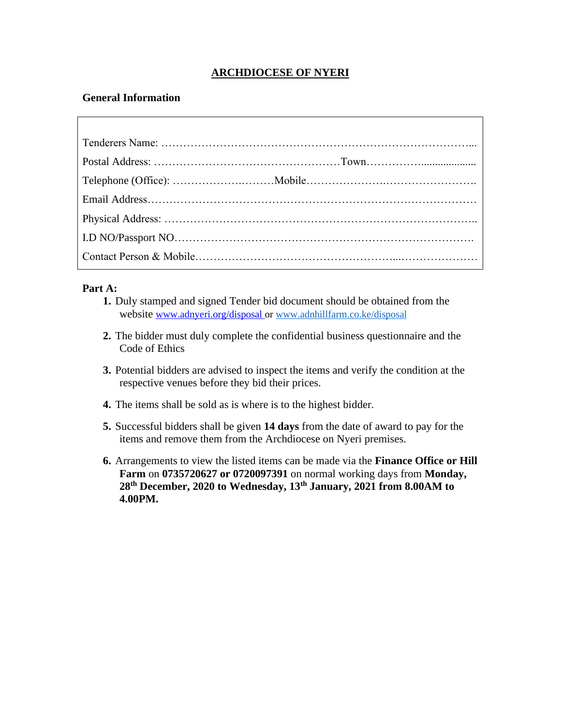#### **ARCHDIOCESE OF NYERI**

#### **General Information**

#### **Part A:**

- **1.** Duly stamped and signed Tender bid document should be obtained from the website [www.adnyeri.org/disposal](http://www.adnyeri.org/disposal) or [www.adnhillfarm.co.ke/disposal](http://www.adnhillfarm.co.ke/disposal)
- **2.** The bidder must duly complete the confidential business questionnaire and the Code of Ethics
- **3.** Potential bidders are advised to inspect the items and verify the condition at the respective venues before they bid their prices.
- **4.** The items shall be sold as is where is to the highest bidder.
- **5.** Successful bidders shall be given **14 days** from the date of award to pay for the items and remove them from the Archdiocese on Nyeri premises.
- **6.** Arrangements to view the listed items can be made via the **Finance Office or Hill Farm** on **0735720627 or 0720097391** on normal working days from **Monday, 28th December, 2020 to Wednesday, 13th January, 2021 from 8.00AM to 4.00PM.**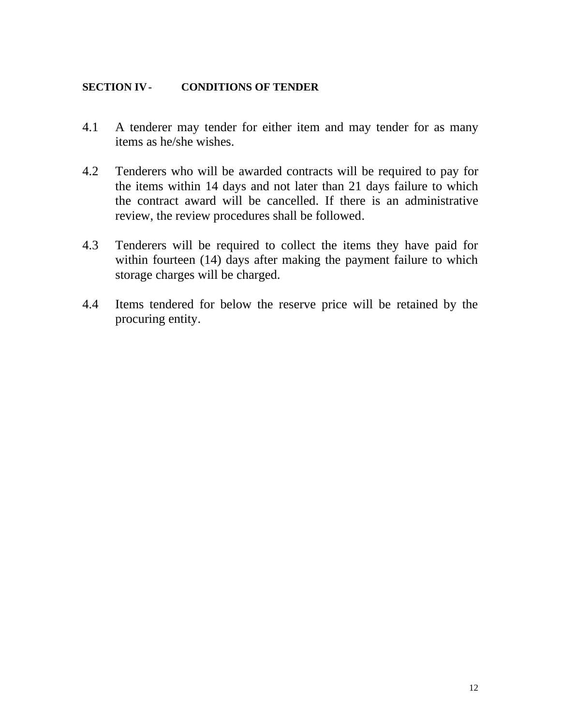#### **SECTION IV- CONDITIONS OF TENDER**

- 4.1 A tenderer may tender for either item and may tender for as many items as he/she wishes.
- 4.2 Tenderers who will be awarded contracts will be required to pay for the items within 14 days and not later than 21 days failure to which the contract award will be cancelled. If there is an administrative review, the review procedures shall be followed.
- 4.3 Tenderers will be required to collect the items they have paid for within fourteen (14) days after making the payment failure to which storage charges will be charged.
- 4.4 Items tendered for below the reserve price will be retained by the procuring entity.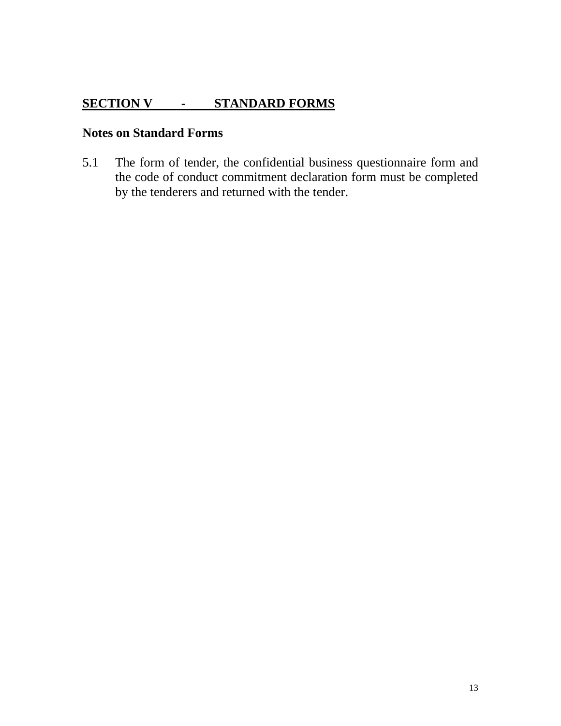# **SECTION V - STANDARD FORMS**

### **Notes on Standard Forms**

5.1 The form of tender, the confidential business questionnaire form and the code of conduct commitment declaration form must be completed by the tenderers and returned with the tender.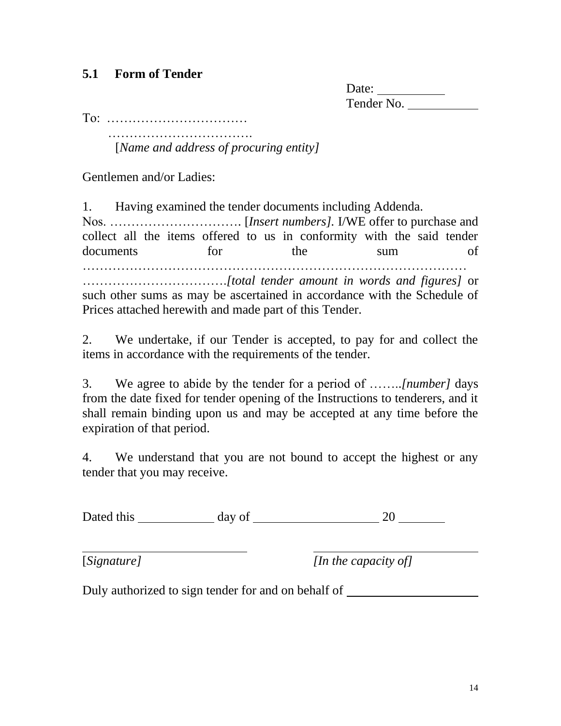# **5.1 Form of Tender**

Date: Tender No.

To: ……………………………

…………………………….

[*Name and address of procuring entity]*

Gentlemen and/or Ladies:

1. Having examined the tender documents including Addenda. Nos. …………………………. [*Insert numbers].* I/WE offer to purchase and collect all the items offered to us in conformity with the said tender documents for the sum of ……………………………………………………………………………… …………………………….*[total tender amount in words and figures]* or such other sums as may be ascertained in accordance with the Schedule of Prices attached herewith and made part of this Tender.

2. We undertake, if our Tender is accepted, to pay for and collect the items in accordance with the requirements of the tender.

3. We agree to abide by the tender for a period of ……..*[number]* days from the date fixed for tender opening of the Instructions to tenderers, and it shall remain binding upon us and may be accepted at any time before the expiration of that period.

4. We understand that you are not bound to accept the highest or any tender that you may receive.

Dated this  $\frac{1}{20}$  day of  $\frac{20}{20}$ 

[*Signature] [In the capacity of]*

Duly authorized to sign tender for and on behalf of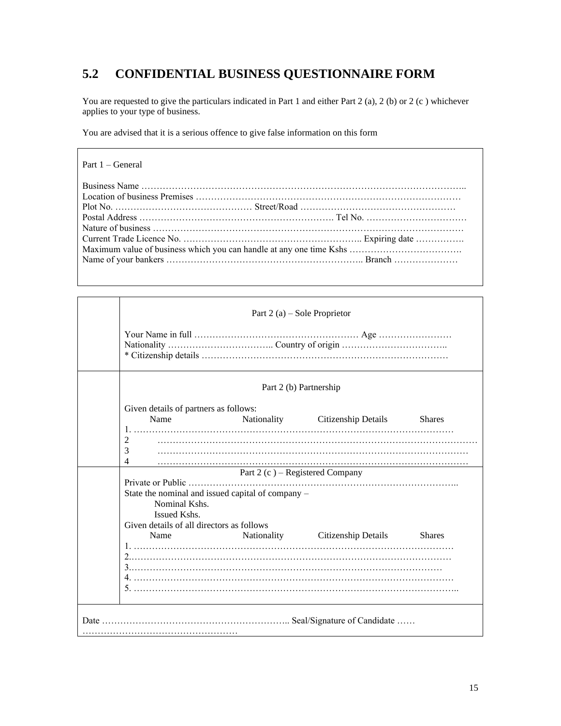# **5.2 CONFIDENTIAL BUSINESS QUESTIONNAIRE FORM**

You are requested to give the particulars indicated in Part 1 and either Part 2 (a), 2 (b) or 2 (c ) whichever applies to your type of business.

You are advised that it is a serious offence to give false information on this form

| Part $1 - \text{General}$ |  |
|---------------------------|--|
|                           |  |
|                           |  |
|                           |  |
|                           |  |
|                           |  |
|                           |  |
|                           |  |
|                           |  |
|                           |  |

|                                                                                                         | Part $2(a)$ – Sole Proprietor   |                                 |               |
|---------------------------------------------------------------------------------------------------------|---------------------------------|---------------------------------|---------------|
|                                                                                                         |                                 |                                 |               |
|                                                                                                         | Part 2 (b) Partnership          |                                 |               |
| Given details of partners as follows:                                                                   |                                 |                                 |               |
| Name                                                                                                    |                                 | Nationality Citizenship Details | <b>Shares</b> |
| 2<br>3                                                                                                  |                                 |                                 |               |
| 4                                                                                                       |                                 |                                 |               |
|                                                                                                         | Part 2 (c) – Registered Company |                                 |               |
| Private or Public<br>State the nominal and issued capital of company –<br>Nominal Kshs.<br>Issued Kshs. |                                 |                                 |               |
| Given details of all directors as follows                                                               |                                 |                                 |               |
| Name                                                                                                    |                                 | Nationality Citizenship Details | <b>Shares</b> |
|                                                                                                         |                                 |                                 |               |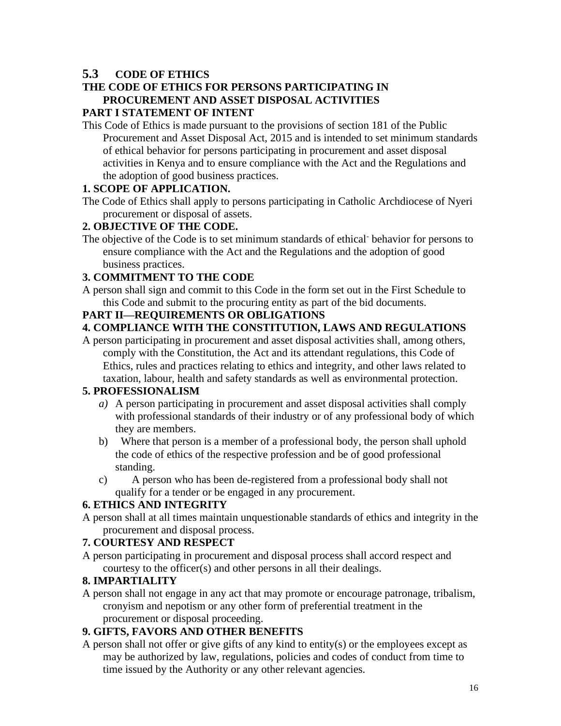### **5.3 CODE OF ETHICS**

#### **THE CODE OF ETHICS FOR PERSONS PARTICIPATING IN PROCUREMENT AND ASSET DISPOSAL ACTIVITIES PART I STATEMENT OF INTENT**

This Code of Ethics is made pursuant to the provisions of section 181 of the Public Procurement and Asset Disposal Act, 2015 and is intended to set minimum standards of ethical behavior for persons participating in procurement and asset disposal activities in Kenya and to ensure compliance with the Act and the Regulations and the adoption of good business practices.

#### **1. SCOPE OF APPLICATION.**

The Code of Ethics shall apply to persons participating in Catholic Archdiocese of Nyeri procurement or disposal of assets.

### **2. OBJECTIVE OF THE CODE.**

The objective of the Code is to set minimum standards of ethical behavior for persons to ensure compliance with the Act and the Regulations and the adoption of good business practices.

#### **3. COMMITMENT TO THE CODE**

A person shall sign and commit to this Code in the form set out in the First Schedule to this Code and submit to the procuring entity as part of the bid documents.

#### **PART II—REQUIREMENTS OR OBLIGATIONS**

### **4. COMPLIANCE WITH THE CONSTITUTION, LAWS AND REGULATIONS**

A person participating in procurement and asset disposal activities shall, among others, comply with the Constitution, the Act and its attendant regulations, this Code of Ethics, rules and practices relating to ethics and integrity, and other laws related to taxation, labour, health and safety standards as well as environmental protection.

#### **5. PROFESSIONALISM**

- *a)* A person participating in procurement and asset disposal activities shall comply with professional standards of their industry or of any professional body of which they are members.
- b) Where that person is a member of a professional body, the person shall uphold the code of ethics of the respective profession and be of good professional standing.
- c) A person who has been de-registered from a professional body shall not qualify for a tender or be engaged in any procurement.

### **6. ETHICS AND INTEGRITY**

A person shall at all times maintain unquestionable standards of ethics and integrity in the procurement and disposal process.

#### **7. COURTESY AND RESPECT**

A person participating in procurement and disposal process shall accord respect and courtesy to the officer(s) and other persons in all their dealings.

#### **8. IMPARTIALITY**

A person shall not engage in any act that may promote or encourage patronage, tribalism, cronyism and nepotism or any other form of preferential treatment in the procurement or disposal proceeding.

#### **9. GIFTS, FAVORS AND OTHER BENEFITS**

A person shall not offer or give gifts of any kind to entity(s) or the employees except as may be authorized by law, regulations, policies and codes of conduct from time to time issued by the Authority or any other relevant agencies.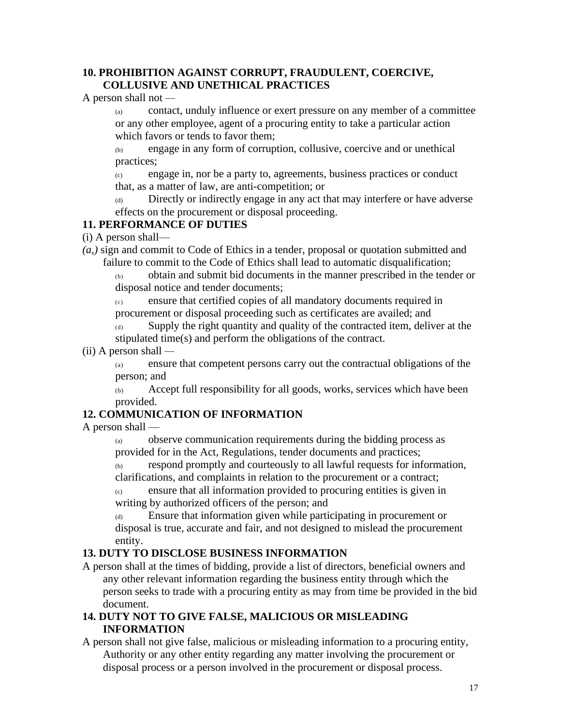#### **10. PROHIBITION AGAINST CORRUPT, FRAUDULENT, COERCIVE, COLLUSIVE AND UNETHICAL PRACTICES**

A person shall not *—*

(a) contact, unduly influence or exert pressure on any member of a committee or any other employee, agent of a procuring entity to take a particular action which favors or tends to favor them;

(b) engage in any form of corruption, collusive, coercive and or unethical practices;

(c) engage in, nor be a party to, agreements, business practices or conduct that, as a matter of law, are anti-competition; or

Directly or indirectly engage in any act that may interfere or have adverse effects on the procurement or disposal proceeding.

### **11. PERFORMANCE OF DUTIES**

(i) A person shall—

*(a,)* sign and commit to Code of Ethics in a tender, proposal or quotation submitted and failure to commit to the Code of Ethics shall lead to automatic disqualification;

(b) obtain and submit bid documents in the manner prescribed in the tender or disposal notice and tender documents;

(c) ensure that certified copies of all mandatory documents required in procurement or disposal proceeding such as certificates are availed; and

(d) Supply the right quantity and quality of the contracted item, deliver at the stipulated time(s) and perform the obligations of the contract.

#### (ii) A person shall *—*

(a) ensure that competent persons carry out the contractual obligations of the person; and

(b) Accept full responsibility for all goods, works, services which have been provided.

### **12. COMMUNICATION OF INFORMATION**

A person shall —

(a) observe communication requirements during the bidding process as provided for in the Act, Regulations, tender documents and practices;

 $\overline{c}_{(b)}$  respond promptly and courteously to all lawful requests for information, clarifications, and complaints in relation to the procurement or a contract;

(c) ensure that all information provided to procuring entities is given in writing by authorized officers of the person; and

(d) Ensure that information given while participating in procurement or disposal is true, accurate and fair, and not designed to mislead the procurement entity.

### **13. DUTY TO DISCLOSE BUSINESS INFORMATION**

A person shall at the times of bidding, provide a list of directors, beneficial owners and any other relevant information regarding the business entity through which the person seeks to trade with a procuring entity as may from time be provided in the bid document.

#### **14. DUTY NOT TO GIVE FALSE, MALICIOUS OR MISLEADING INFORMATION**

A person shall not give false, malicious or misleading information to a procuring entity, Authority or any other entity regarding any matter involving the procurement or disposal process or a person involved in the procurement or disposal process.